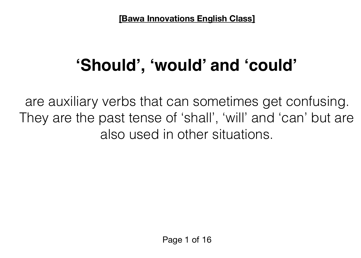# **'Should', 'would' and 'could'**

are auxiliary verbs that can sometimes get confusing. They are the past tense of 'shall', 'will' and 'can' but are also used in other situations.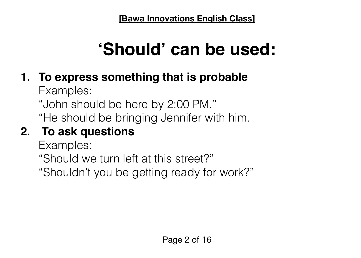# **'Should' can be used:**

# **1. To express something that is probable**

Examples:

"John should be here by 2:00 PM."

"He should be bringing Jennifer with him.

# **2. To ask questions**

Examples:

"Should we turn left at this street?"

"Shouldn't you be getting ready for work?"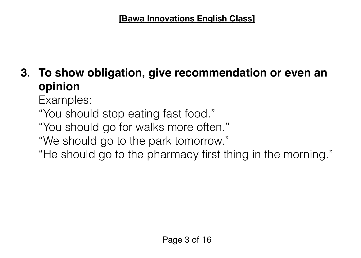## **3. To show obligation, give recommendation or even an opinion**

Examples:

"You should stop eating fast food."

"You should go for walks more often."

"We should go to the park tomorrow."

"He should go to the pharmacy first thing in the morning."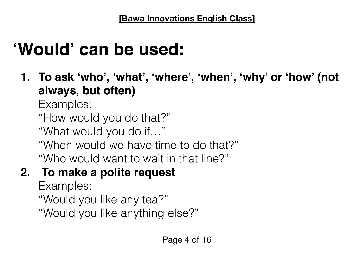# **'Would' can be used:**

**1. To ask 'who', 'what', 'where', 'when', 'why' or 'how' (not always, but often)**

Examples:

"How would you do that?"

"What would you do if…"

"When would we have time to do that?"

"Who would want to wait in that line?"

### **2. To make a polite request**

Examples: "Would you like any tea?" "Would you like anything else?"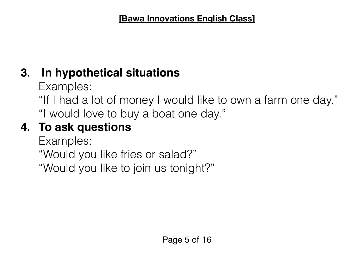## **3. In hypothetical situations**

Examples:

"If I had a lot of money I would like to own a farm one day." "I would love to buy a boat one day."

## **4. To ask questions**

Examples: "Would you like fries or salad?" "Would you like to join us tonight?"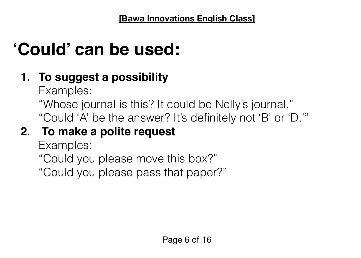# **'Could' can be used:**

# **1. To suggest a possibility**

Examples:

"Whose journal is this? It could be Nelly's journal." "Could 'A' be the answer? It's definitely not 'B' or 'D.'"

# **2. To make a polite request**

Examples:

"Could you please move this box?"

"Could you please pass that paper?"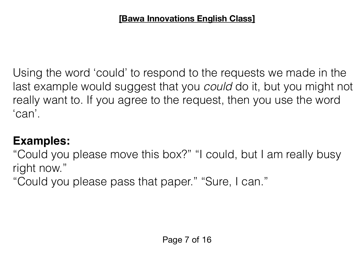Using the word 'could' to respond to the requests we made in the last example would suggest that you *could* do it, but you might not really want to. If you agree to the request, then you use the word 'can'.

#### **Examples:**

"Could you please move this box?" "I could, but I am really busy right now."

"Could you please pass that paper." "Sure, I can."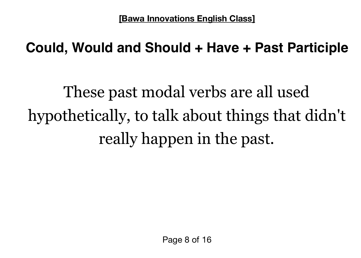# **Could, Would and Should + Have + Past Participle**

These past modal verbs are all used hypothetically, to talk about things that didn't really happen in the past.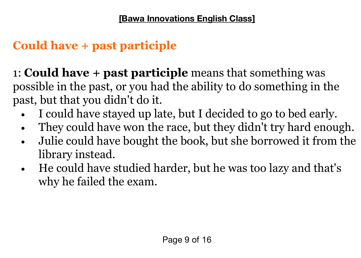### **Could have + past participle**

1: **Could have + past participle** means that something was possible in the past, or you had the ability to do something in the past, but that you didn't do it.

- I could have stayed up late, but I decided to go to bed early.
- They could have won the race, but they didn't try hard enough.
- Julie could have bought the book, but she borrowed it from the library instead.
- He could have studied harder, but he was too lazy and that's why he failed the exam.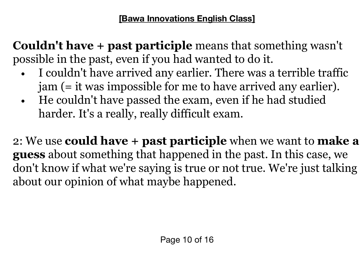**Couldn't have + past participle** means that something wasn't possible in the past, even if you had wanted to do it.

- I couldn't have arrived any earlier. There was a terrible traffic jam (= it was impossible for me to have arrived any earlier).
- He couldn't have passed the exam, even if he had studied harder. It's a really, really difficult exam.

2: We use **could have + past participle** when we want to **make a guess** about something that happened in the past. In this case, we don't know if what we're saying is true or not true. We're just talking about our opinion of what maybe happened.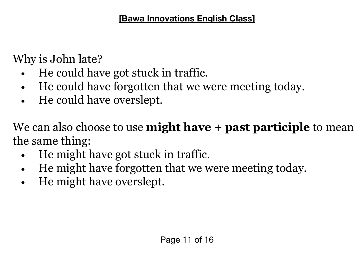Why is John late?

- He could have got stuck in traffic.
- He could have forgotten that we were meeting today.
- He could have overslept.

We can also choose to use **might have + past participle** to mean the same thing:

- He might have got stuck in traffic.
- He might have forgotten that we were meeting today.
- He might have overslept.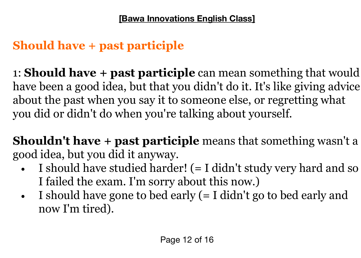## **Should have + past participle**

1: **Should have + past participle** can mean something that would have been a good idea, but that you didn't do it. It's like giving advice about the past when you say it to someone else, or regretting what you did or didn't do when you're talking about yourself.

**Shouldn't have + past participle** means that something wasn't a good idea, but you did it anyway.

- I should have studied harder! (= I didn't study very hard and so I failed the exam. I'm sorry about this now.)
- I should have gone to bed early (= I didn't go to bed early and now I'm tired).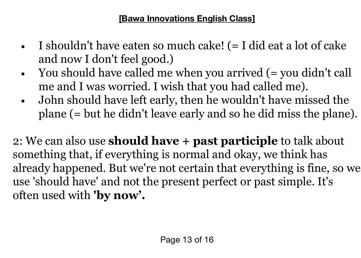- I shouldn't have eaten so much cake! (= I did eat a lot of cake and now I don't feel good.)
- You should have called me when you arrived (= you didn't call me and I was worried. I wish that you had called me).
- John should have left early, then he wouldn't have missed the plane (= but he didn't leave early and so he did miss the plane).

2: We can also use **should have + past participle** to talk about something that, if everything is normal and okay, we think has already happened. But we're not certain that everything is fine, so we use 'should have' and not the present perfect or past simple. It's often used with **'by now'.**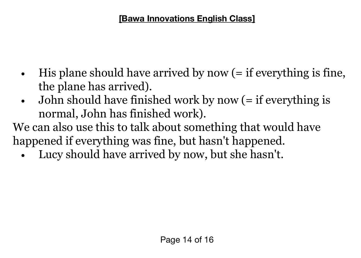- His plane should have arrived by now (= if everything is fine, the plane has arrived).
- John should have finished work by now (= if everything is normal, John has finished work).

We can also use this to talk about something that would have happened if everything was fine, but hasn't happened.

Lucy should have arrived by now, but she hasn't.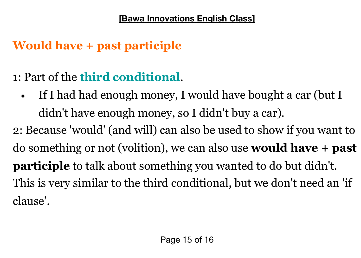## **Would have + past participle**

- 1: Part of the **[third conditional](https://www.perfect-english-grammar.com/third-conditional.html)**.
	- If I had had enough money, I would have bought a car (but I didn't have enough money, so I didn't buy a car).

2: Because 'would' (and will) can also be used to show if you want to do something or not (volition), we can also use **would have + past participle** to talk about something you wanted to do but didn't. This is very similar to the third conditional, but we don't need an 'if clause'.